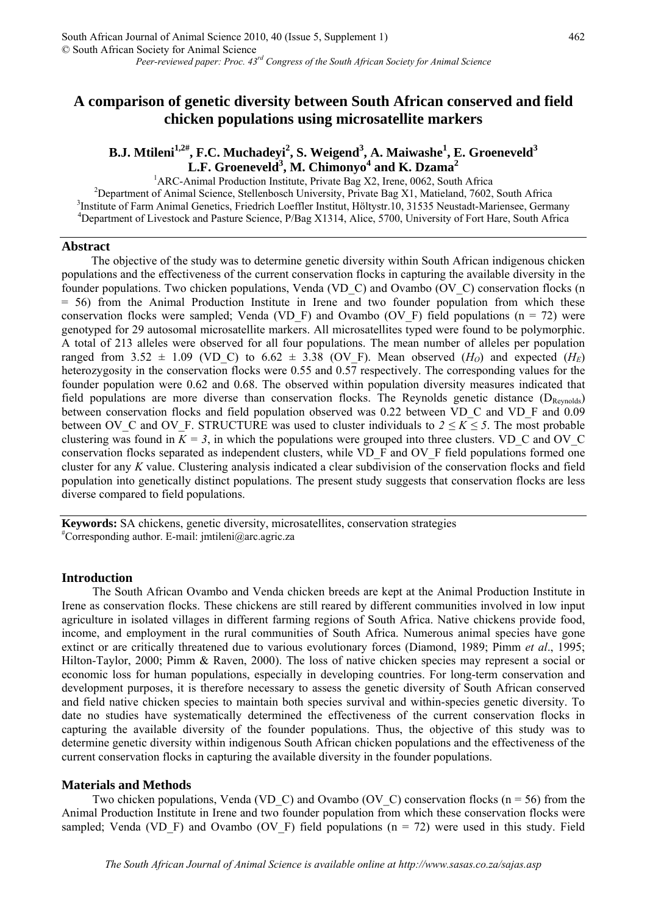# **A comparison of genetic diversity between South African conserved and field chicken populations using microsatellite markers**

## B.J. Mtileni<sup>1,2#</sup>, F.C. Muchadeyi<sup>2</sup>, S. Weigend<sup>3</sup>, A. Maiwashe<sup>1</sup>, E. Groeneveld<sup>3</sup> **L.F. Groeneveld3 , M. Chimonyo<sup>4</sup> and K. Dzama<sup>2</sup>**

<sup>1</sup>ARC-Animal Production Institute, Private Bag X2, Irene, 0062, South Africa<br><sup>2</sup>Department of Animal Sejange, Stellanboogh University, Private Bag X1, Metiology 7602, <sup>2</sup>Department of Animal Science, Stellenbosch University, Private Bag X1, Matieland, 7602, South Africa <sup>3</sup>Institute of Farm Animal Genetics, Friedrich Loeffler Institut, Höltystr.10, 31535 Neustadt-Mariensee, Germany <sup>4</sup>Department of Livestock and Pasture Science, P/Bag X1314, Alice, 5700, University of Fort Hare, South Africa

#### **Abstract**

The objective of the study was to determine genetic diversity within South African indigenous chicken populations and the effectiveness of the current conservation flocks in capturing the available diversity in the founder populations. Two chicken populations, Venda (VD\_C) and Ovambo (OV\_C) conservation flocks (n = 56) from the Animal Production Institute in Irene and two founder population from which these conservation flocks were sampled; Venda (VD\_F) and Ovambo (OV\_F) field populations (n = 72) were genotyped for 29 autosomal microsatellite markers. All microsatellites typed were found to be polymorphic. A total of 213 alleles were observed for all four populations. The mean number of alleles per population ranged from 3.52  $\pm$  1.09 (VD C) to 6.62  $\pm$  3.38 (OV F). Mean observed (*H<sub>O</sub>*) and expected (*H<sub>E</sub>*) heterozygosity in the conservation flocks were 0.55 and 0.57 respectively. The corresponding values for the founder population were 0.62 and 0.68. The observed within population diversity measures indicated that field populations are more diverse than conservation flocks. The Reynolds genetic distance (DReynolds) between conservation flocks and field population observed was 0.22 between VD\_C and VD\_F and 0.09 between OV\_C and OV\_F. STRUCTURE was used to cluster individuals to  $2 \le K \le 5$ . The most probable clustering was found in  $K = 3$ , in which the populations were grouped into three clusters. VD C and OV C conservation flocks separated as independent clusters, while VD\_F and OV\_F field populations formed one cluster for any *K* value. Clustering analysis indicated a clear subdivision of the conservation flocks and field population into genetically distinct populations. The present study suggests that conservation flocks are less diverse compared to field populations.

**Keywords:** SA chickens, genetic diversity, microsatellites, conservation strategies #  ${}^{\#}$ Corresponding author. E-mail: [jmtileni@arc.agric.za](mailto:jmtileni@arc.agric.za)

#### **Introduction**

The South African Ovambo and Venda chicken breeds are kept at the Animal Production Institute in Irene as conservation flocks. These chickens are still reared by different communities involved in low input agriculture in isolated villages in different farming regions of South Africa. Native chickens provide food, income, and employment in the rural communities of South Africa. Numerous animal species have gone extinct or are critically threatened due to various evolutionary forces (Diamond, 1989; Pimm *et al*., 1995; Hilton-Taylor, 2000; Pimm & Raven, 2000). The loss of native chicken species may represent a social or economic loss for human populations, especially in developing countries. For long-term conservation and development purposes, it is therefore necessary to assess the genetic diversity of South African conserved and field native chicken species to maintain both species survival and within-species genetic diversity. To date no studies have systematically determined the effectiveness of the current conservation flocks in capturing the available diversity of the founder populations. Thus, the objective of this study was to determine genetic diversity within indigenous South African chicken populations and the effectiveness of the current conservation flocks in capturing the available diversity in the founder populations.

#### **Materials and Methods**

Two chicken populations, Venda (VD C) and Ovambo (OV C) conservation flocks ( $n = 56$ ) from the Animal Production Institute in Irene and two founder population from which these conservation flocks were sampled; Venda (VD\_F) and Ovambo (OV\_F) field populations (n = 72) were used in this study. Field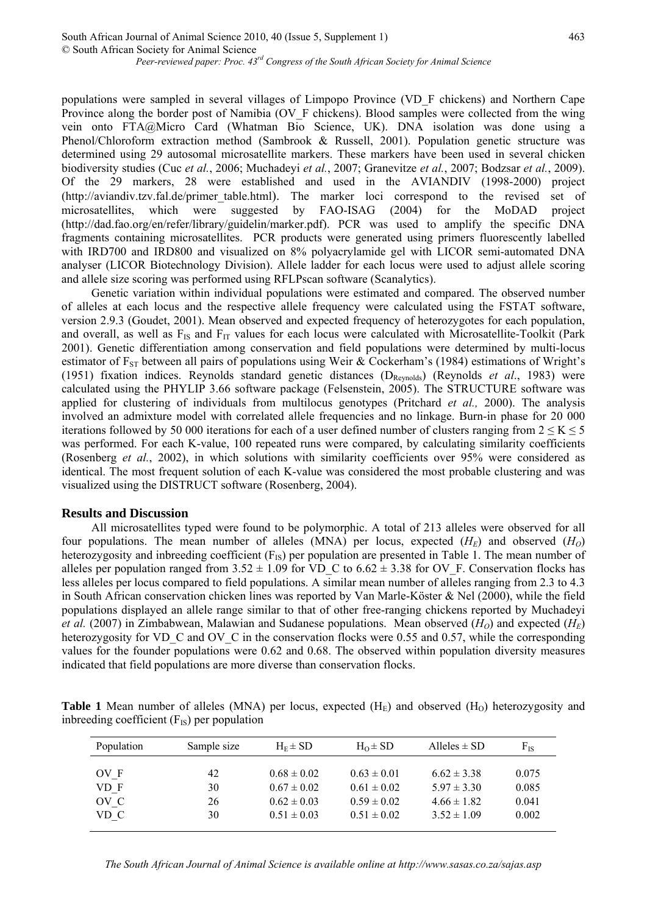populations were sampled in several villages of Limpopo Province (VD\_F chickens) and Northern Cape Province along the border post of Namibia (OV F chickens). Blood samples were collected from the wing vein onto FTA@Micro Card (Whatman Bio Science, UK). DNA isolation was done using a Phenol/Chloroform extraction method (Sambrook & Russell, 2001). Population genetic structure was determined using 29 autosomal microsatellite markers. These markers have been used in several chicken biodiversity studies (Cuc *et al.*, 2006; Muchadeyi *et al.*, 2007; Granevitze *et al.*, 2007; Bodzsar *et al.*, 2009). Of the 29 markers, 28 were established and used in the AVIANDIV (1998-2000) project [\(http://aviandiv.tzv.fal.de/primer\\_table.html](http://aviandiv.tzv.fal.de/primer_table.html)). The marker loci correspond to the revised set of microsatellites, which were suggested by FAO-ISAG (2004) for the MoDAD project [\(http://dad.fao.org/en/refer/library/guidelin/marker.pdf](http://dad.fao.org/en/refer/library/guidelin/marker.pdf)). PCR was used to amplify the specific DNA fragments containing microsatellites. PCR products were generated using primers fluorescently labelled with IRD700 and IRD800 and visualized on 8% polyacrylamide gel with LICOR semi-automated DNA analyser (LICOR Biotechnology Division). Allele ladder for each locus were used to adjust allele scoring and allele size scoring was performed using RFLPscan software (Scanalytics).

Genetic variation within individual populations were estimated and compared. The observed number of alleles at each locus and the respective allele frequency were calculated using the FSTAT software, version 2.9.3 (Goudet, 2001). Mean observed and expected frequency of heterozygotes for each population, and overall, as well as  $F_{IS}$  and  $F_{IT}$  values for each locus were calculated with Microsatellite-Toolkit (Park 2001). Genetic differentiation among conservation and field populations were determined by multi-locus estimator of  $F_{ST}$  between all pairs of populations using Weir & Cockerham's (1984) estimations of Wright's (1951) fixation indices. Reynolds standard genetic distances (DReynolds) (Reynolds *et al*., 1983) were calculated using the PHYLIP 3.66 software package (Felsenstein, 2005). The STRUCTURE software was applied for clustering of individuals from multilocus genotypes (Pritchard *et al.,* 2000). The analysis involved an admixture model with correlated allele frequencies and no linkage. Burn-in phase for 20 000 iterations followed by 50 000 iterations for each of a user defined number of clusters ranging from  $2 \le K \le 5$ was performed. For each K-value, 100 repeated runs were compared, by calculating similarity coefficients (Rosenberg *et al.*, 2002), in which solutions with similarity coefficients over 95% were considered as identical. The most frequent solution of each K-value was considered the most probable clustering and was visualized using the DISTRUCT software (Rosenberg, 2004).

## **Results and Discussion**

All microsatellites typed were found to be polymorphic. A total of 213 alleles were observed for all four populations. The mean number of alleles (MNA) per locus, expected  $(H_F)$  and observed  $(H_O)$ heterozygosity and inbreeding coefficient  $(F_{IS})$  per population are presented in Table 1. The mean number of alleles per population ranged from  $3.52 \pm 1.09$  for VD\_C to  $6.62 \pm 3.38$  for OV\_F. Conservation flocks has less alleles per locus compared to field populations. A similar mean number of alleles ranging from 2.3 to 4.3 in South African conservation chicken lines was reported by Van Marle-Köster & Nel (2000), while the field populations displayed an allele range similar to that of other free-ranging chickens reported by Muchadeyi *et al.* (2007) in Zimbabwean, Malawian and Sudanese populations. Mean observed  $(H<sub>O</sub>)$  and expected  $(H<sub>E</sub>)$ heterozygosity for VD\_C and OV\_C in the conservation flocks were 0.55 and 0.57, while the corresponding values for the founder populations were 0.62 and 0.68. The observed within population diversity measures indicated that field populations are more diverse than conservation flocks.

**Table 1** Mean number of alleles (MNA) per locus, expected  $(H<sub>E</sub>)$  and observed  $(H<sub>O</sub>)$  heterozygosity and inbreeding coefficient  $(F_{IS})$  per population

| Population | Sample size | $H_F \pm SD$    | $H_0 \pm SD$    | Alleles $\pm$ SD | $F_{IS}$ |
|------------|-------------|-----------------|-----------------|------------------|----------|
| OV F       | 42          | $0.68 \pm 0.02$ | $0.63 \pm 0.01$ | $6.62 \pm 3.38$  | 0.075    |
| VD F       | 30          | $0.67 \pm 0.02$ | $0.61 \pm 0.02$ | $5.97 \pm 3.30$  | 0.085    |
| OV C       | 26          | $0.62 \pm 0.03$ | $0.59 \pm 0.02$ | $4.66 \pm 1.82$  | 0.041    |
| VD C       | 30          | $0.51 \pm 0.03$ | $0.51 \pm 0.02$ | $3.52 \pm 1.09$  | 0.002    |

*The South African Journal of Animal Science is available online at http://www.sasas.co.za/sajas.asp*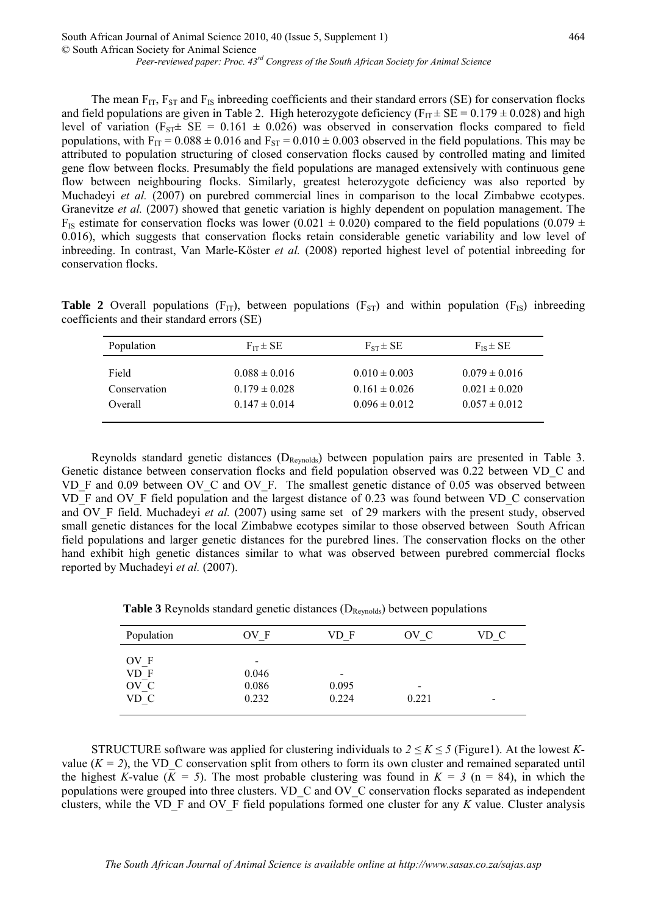The mean  $F_{IT}$ ,  $F_{ST}$  and  $F_{IS}$  inbreeding coefficients and their standard errors (SE) for conservation flocks and field populations are given in Table 2. High heterozygote deficiency ( $F_{IT} \pm SE = 0.179 \pm 0.028$ ) and high level of variation ( $F_{ST} \pm SE = 0.161 \pm 0.026$ ) was observed in conservation flocks compared to field populations, with  $F_{IT} = 0.088 \pm 0.016$  and  $F_{ST} = 0.010 \pm 0.003$  observed in the field populations. This may be attributed to population structuring of closed conservation flocks caused by controlled mating and limited gene flow between flocks. Presumably the field populations are managed extensively with continuous gene flow between neighbouring flocks. Similarly, greatest heterozygote deficiency was also reported by Muchadeyi *et al.* (2007) on purebred commercial lines in comparison to the local Zimbabwe ecotypes. Granevitze *et al.* (2007) showed that genetic variation is highly dependent on population management. The F<sub>IS</sub> estimate for conservation flocks was lower (0.021  $\pm$  0.020) compared to the field populations (0.079  $\pm$ 0.016), which suggests that conservation flocks retain considerable genetic variability and low level of inbreeding. In contrast, Van Marle-Köster *et al.* (2008) reported highest level of potential inbreeding for conservation flocks.

**Table 2** Overall populations ( $F_{IT}$ ), between populations ( $F_{ST}$ ) and within population ( $F_{IS}$ ) inbreeding coefficients and their standard errors (SE)

| Population   | $F_{IT} \pm SE$   | $F_{ST} \pm SE$   | $F_{IS} \pm SE$   |
|--------------|-------------------|-------------------|-------------------|
| Field        | $0.088 \pm 0.016$ | $0.010 \pm 0.003$ | $0.079 \pm 0.016$ |
| Conservation | $0.179 \pm 0.028$ | $0.161 \pm 0.026$ | $0.021 \pm 0.020$ |
| Overall      | $0.147 \pm 0.014$ | $0.096 \pm 0.012$ | $0.057 \pm 0.012$ |

Reynolds standard genetic distances  $(D_{\text{Reynolds}})$  between population pairs are presented in Table 3. Genetic distance between conservation flocks and field population observed was 0.22 between VD\_C and VD\_F and 0.09 between OV\_C and OV\_F. The smallest genetic distance of 0.05 was observed between VD\_F and OV\_F field population and the largest distance of 0.23 was found between VD\_C conservation and OV<sub>F</sub> field. Muchadeyi *et al.* (2007) using same set of 29 markers with the present study, observed small genetic distances for the local Zimbabwe ecotypes similar to those observed between South African field populations and larger genetic distances for the purebred lines. The conservation flocks on the other hand exhibit high genetic distances similar to what was observed between purebred commercial flocks reported by Muchadeyi *et al.* (2007).

**Table 3** Reynolds standard genetic distances  $(D_{\text{Reynolds}})$  between populations

| Population | OV F  | VD F                     | OV C                     | VD C                     |
|------------|-------|--------------------------|--------------------------|--------------------------|
| OV F       | $\,$  |                          |                          |                          |
| $VD_F$     | 0.046 | $\overline{\phantom{a}}$ |                          |                          |
| $OV_C$     | 0.086 | 0.095                    | $\overline{\phantom{a}}$ |                          |
| VD C       | 0.232 | 0.224                    | 0.221                    | $\overline{\phantom{0}}$ |
|            |       |                          |                          |                          |

STRUCTURE software was applied for clustering individuals to  $2 \leq K \leq 5$  (Figure1). At the lowest *K*value  $(K = 2)$ , the VD C conservation split from others to form its own cluster and remained separated until the highest *K*-value ( $K = 5$ ). The most probable clustering was found in  $K = 3$  ( $n = 84$ ), in which the populations were grouped into three clusters. VD\_C and OV\_C conservation flocks separated as independent clusters, while the VD\_F and OV\_F field populations formed one cluster for any *K* value. Cluster analysis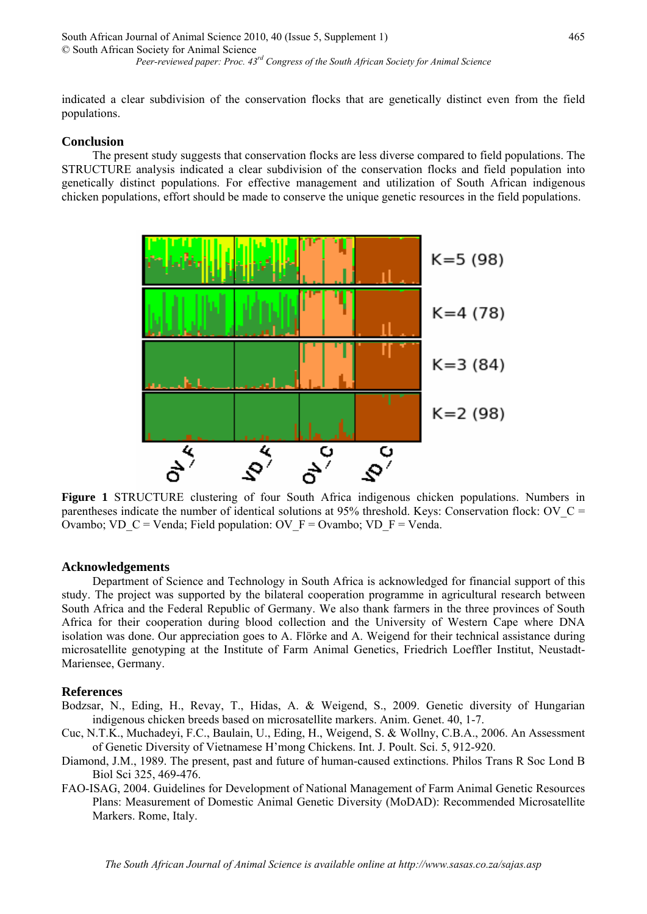indicated a clear subdivision of the conservation flocks that are genetically distinct even from the field populations.

## **Conclusion**

The present study suggests that conservation flocks are less diverse compared to field populations. The STRUCTURE analysis indicated a clear subdivision of the conservation flocks and field population into genetically distinct populations. For effective management and utilization of South African indigenous chicken populations, effort should be made to conserve the unique genetic resources in the field populations.



**Figure 1** STRUCTURE clustering of four South Africa indigenous chicken populations. Numbers in parentheses indicate the number of identical solutions at 95% threshold. Keys: Conservation flock: OV  $C =$ Ovambo; VD\_C = Venda; Field population: OV\_F = Ovambo; VD\_F = Venda.

#### **Acknowledgements**

Department of Science and Technology in South Africa is acknowledged for financial support of this study. The project was supported by the bilateral cooperation programme in agricultural research between South Africa and the Federal Republic of Germany. We also thank farmers in the three provinces of South Africa for their cooperation during blood collection and the University of Western Cape where DNA isolation was done. Our appreciation goes to A. Flörke and A. Weigend for their technical assistance during microsatellite genotyping at the Institute of Farm Animal Genetics, Friedrich Loeffler Institut, Neustadt-Mariensee, Germany.

#### **References**

- Bodzsar, N., Eding, H., Revay, T., Hidas, A. & Weigend, S., 2009. Genetic diversity of Hungarian indigenous chicken breeds based on microsatellite markers. Anim. Genet. 40, 1-7.
- Cuc, N.T.K., Muchadeyi, F.C., Baulain, U., Eding, H., Weigend, S. & Wollny, C.B.A., 2006. An Assessment of Genetic Diversity of Vietnamese H'mong Chickens. Int. J. Poult. Sci. 5, 912-920.
- Diamond, J.M., 1989. The present, past and future of human-caused extinctions. Philos Trans R Soc Lond B Biol Sci 325, 469-476.
- FAO-ISAG, 2004. Guidelines for Development of National Management of Farm Animal Genetic Resources Plans: Measurement of Domestic Animal Genetic Diversity (MoDAD): Recommended Microsatellite Markers. Rome, Italy.